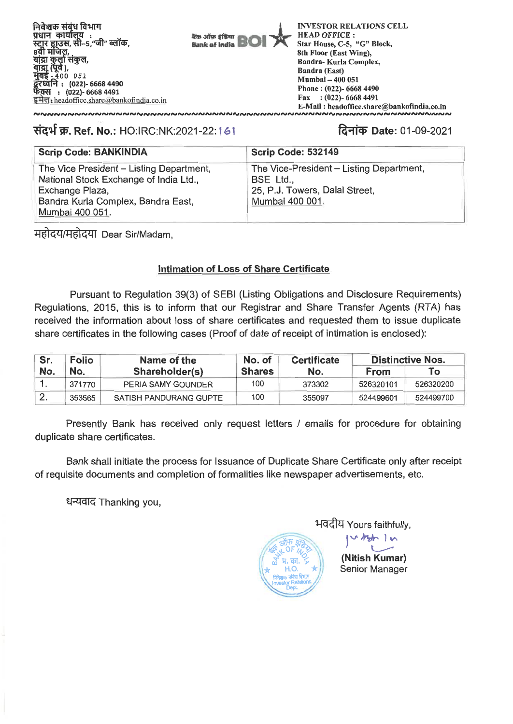कैंक ऑफ़ इंडिया **Bank of India**  **INVESTOR RELATIONS CELL HEAD OFFICE:** Star House, C-5, "G" Block. 8th Floor (East Wing), **Bandra-Kurla Complex, Bandra (East)** Mumbai - 400 051 Phone: (022)- 6668 4490 Fax:  $(022)$ - 6668 4491 E-Mail: headoffice.share@bankofindia.co.in <u>unnnnnnn</u> **NNNNNNNNNN** 

# संदर्भ क्र. Ref. No.: HO:IRC:NK:2021-22: 1 61

# दिनांक Date: 01-09-2021

| <b>Scrip Code: BANKINDIA</b>                                                                                                                                   | <b>Scrip Code: 532149</b>                                                                                  |
|----------------------------------------------------------------------------------------------------------------------------------------------------------------|------------------------------------------------------------------------------------------------------------|
| The Vice President – Listing Department,<br>National Stock Exchange of India Ltd.,<br>Exchange Plaza,<br>Bandra Kurla Complex, Bandra East,<br>Mumbai 400 051. | The Vice-President – Listing Department,<br>BSE Ltd.,<br>25, P.J. Towers, Dalal Street,<br>Mumbai 400 001. |

महोदय/महोदया Dear Sir/Madam,

## **Intimation of Loss of Share Certificate**

Pursuant to Regulation 39(3) of SEBI (Listing Obligations and Disclosure Requirements) Regulations, 2015, this is to inform that our Registrar and Share Transfer Agents (RTA) has received the information about loss of share certificates and requested them to issue duplicate share certificates in the following cases (Proof of date of receipt of intimation is enclosed):

| Sr. | <b>Folio</b><br>Name of the<br>No.<br>Shareholder(s) |                        | No. of        | <b>Certificate</b> | <b>Distinctive Nos.</b> |           |  |
|-----|------------------------------------------------------|------------------------|---------------|--------------------|-------------------------|-----------|--|
| No. |                                                      |                        | <b>Shares</b> | No.                | From                    | Τo        |  |
|     | 371770                                               | PERIA SAMY GOUNDER     | 100           | 373302             | 526320101               | 526320200 |  |
|     | 353565                                               | SATISH PANDURANG GUPTE | 100           | 355097             | 524499601               | 524499700 |  |

Presently Bank has received only request letters / emails for procedure for obtaining duplicate share certificates.

Bank shall initiate the process for Issuance of Duplicate Share Certificate only after receipt of requisite documents and completion of formalities like newspaper advertisements, etc.

धन्यवाद Thanking you,



भवदीय Yours faithfully,

(Nitish Kumar) Senior Manager

 $\frac{1}{2}$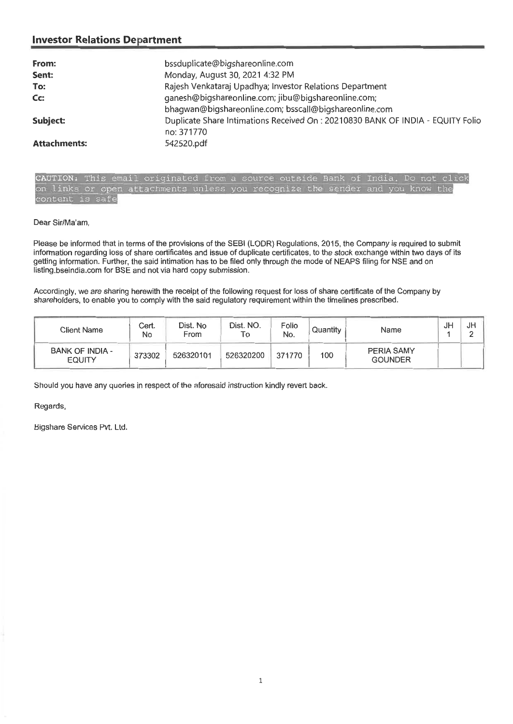### **Investor Relations Department**

| From:               | bssduplicate@bigshareonline.com                                                |
|---------------------|--------------------------------------------------------------------------------|
| Sent:               | Monday, August 30, 2021 4:32 PM                                                |
| To:                 | Rajesh Venkataraj Upadhya; Investor Relations Department                       |
| Cc:                 | ganesh@bigshareonline.com; jibu@bigshareonline.com;                            |
|                     | bhagwan@bigshareonline.com; bsscall@bigshareonline.com                         |
| Subject:            | Duplicate Share Intimations Received On: 20210830 BANK OF INDIA - EQUITY Folio |
|                     | no: 371770                                                                     |
| <b>Attachments:</b> | 542520.pdf                                                                     |

**CAUTION:** This email originated from a source outside Bank of India. Do not click on links or open attachments unless you recognize the sender and you know the content is sate

#### Dear Sir/Ma'am,

Please be informed that in terms of the provisions of the SEBI (LODR) Regulations, 2015, the Company is required to submit information regarding loss of share certificates and issue of duplicate certificates, to the stock exchange within two days of its getting information. Further, the said intimation has to be filed only through the mode of NEAPS filing for NSE and on listing.bseindia.com for BSE and not via hard copy submission.

Accordingly, we are sharing herewith the receipt of the following request for loss of share certificate of the Company by shareholders, to enable you to comply with the said regulatory requirement within the timelines prescribed.

| <b>Client Name</b>                      | Cert.<br>No | Dist. No<br>From | Dist. NO.<br>I O | Folio<br>No. | Quantity | Name                         | Jŀ | JH |
|-----------------------------------------|-------------|------------------|------------------|--------------|----------|------------------------------|----|----|
| <b>BANK OF INDIA -</b><br><b>EQUITY</b> | 373302      | 526320101        | 526320200        | 371770       | 100      | PERIA SAMY<br><b>GOUNDER</b> |    |    |

Should you have any queries in respect of the aforesaid instruction kindly revert back.

#### Regards,

Bigshare Services Pvt. Ltd.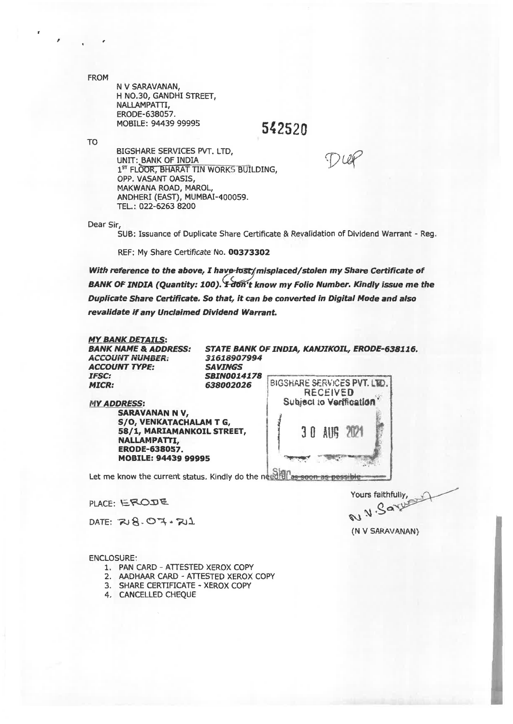FROM

N V SARAVANAN, H NO.30, GANDHI STREET, NALLAMPATTI, ERODE-638057. MOBILE: 94439 99995

TO

BIGSHARE SERVICES PVT. LTD, UNIT: BANK OF INDIA<br>1<sup>st</sup> FLOOR, BHARAT TIN WORKS BUILDING, OPP. VASANT OASIS, MAKWANA ROAD, MAROL, ANDHERI (EAST), MUMBAI-400059. TEL.: 022-6263 8200

Dear Sir,

SUB: Issuance of Duplicate Share Certificate & Revalidation of Dividend Warrant - Reg.

**542520** 

REF: My Share Certificate No. **00373302** 

With reference to the above, I have-fost/misplaced/stolen my Share Certificate of **BANK OF INDIA (Quantity: 100). From the know my Folio Number. Kindly issue me the Duplicate Share Certificate. So that, it can be converted in Digital Mode and also revalidate if any Unclaimed Dividend Warrant.** 

*MY BANK DETAILS: BANK NAME &* **ADDRESS:**  *ACCOUNT NUMBER; ACCOUNT* **TYPE:**  IFSC: **MICR:** 

*31618907994 SAVINGS S8IN0014178*  **BIGSHARE SERVICES PVT. LTD. RECEIVED Subject to Verification** 

**STATE BANK** *OF INDIA, KANNKOIL, ERODE-638116.* 

**( 30 AM 207.1** 

**MY** *ADDRESS:*  **SARAVANAN N V, 5/0, VENKATACHALAM T G, 58/1, MARIAMANKOIL STREET, NALLAMPATTI, ERODE-638057. MOBILE: 94439 99995** 

Let me know the current status. Kindly do the needful as soon as possible

 $PLACE: EROJE$ 

 $DATA: 28.07.21$ 

ENCLOSURE.

- 1. PAN CARD ATTESTED XEROX COPY
- 2. AADHAAR CARD ATTESTED XEROX COPY
- 3. SHARE CERTIFICATE XEROX COPY
- 4. CANCELLED CHEQUE

Yours faithfully, **NV.Sar** 

(N V SARAVANAN)

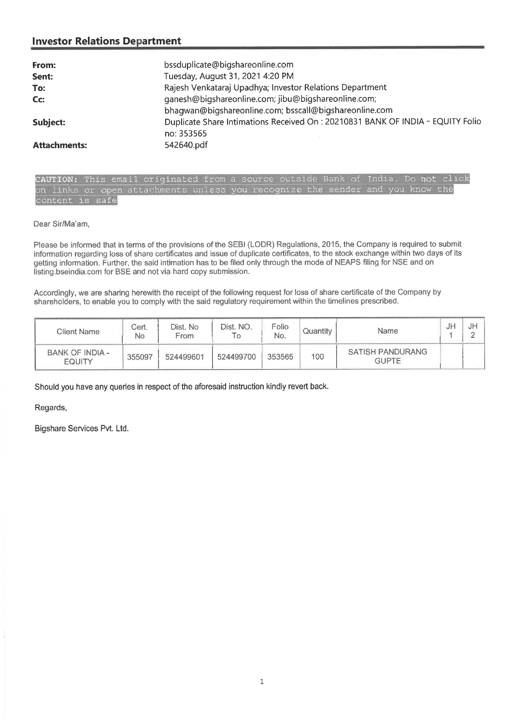### **Investor Relations Department**

| From:               | bssduplicate@bigshareonline.com                                                 |
|---------------------|---------------------------------------------------------------------------------|
| Sent:               | Tuesday, August 31, 2021 4:20 PM                                                |
| To:                 | Rajesh Venkataraj Upadhya; Investor Relations Department                        |
| Cc:                 | ganesh@bigshareonline.com; jibu@bigshareonline.com;                             |
|                     | bhaqwan@biqshareonline.com; bsscall@bigshareonline.com                          |
| Subject:            | Duplicate Share Intimations Received On : 20210831 BANK OF INDIA - EQUITY Folio |
|                     | no: 353565                                                                      |
| <b>Attachments:</b> | 542640.pdf                                                                      |

CAUTION: This email originated from a source outside Bank of India. Do not click on links or open attachments unless you recognize the sender and you know the content is safe

Dear Sir/Ma'am,

Please be informed that in terms of the provisions of the SEBI (LODR) Regulations, 2015, the Company is required to submit information regarding loss of share certificates and issue of duplicate certificates, to the stock exchange within two days of its getting information. Further, the said intimation has to be filed only through the mode of NEAPS filing for NSE and on listing.bseindia.com for BSE and not via hard copy submission.

Accordingly, we are sharing herewith the receipt of the following request for loss of share certificate of the Company by shareholders, to enable you to comply with the said regulatory requirement within the timelines prescribed.

| <b>Client Name</b>               | Cert.<br>No | Dist. No<br>From | Dist. NO.<br>١o | Folio<br>No. | Quantity | Name                                    | JP | JF<br>- |
|----------------------------------|-------------|------------------|-----------------|--------------|----------|-----------------------------------------|----|---------|
| BANK OF INDIA -<br><b>EQUITY</b> | 355097      | 524499601        | 524499700       | 353565       | 100      | <b>SATISH PANDURANG</b><br><b>GUPTE</b> |    |         |

Should you have any queries in respect of the aforesaid instruction kindly revert back.

Regards,

Bigshare Services Pvt. Ltd.